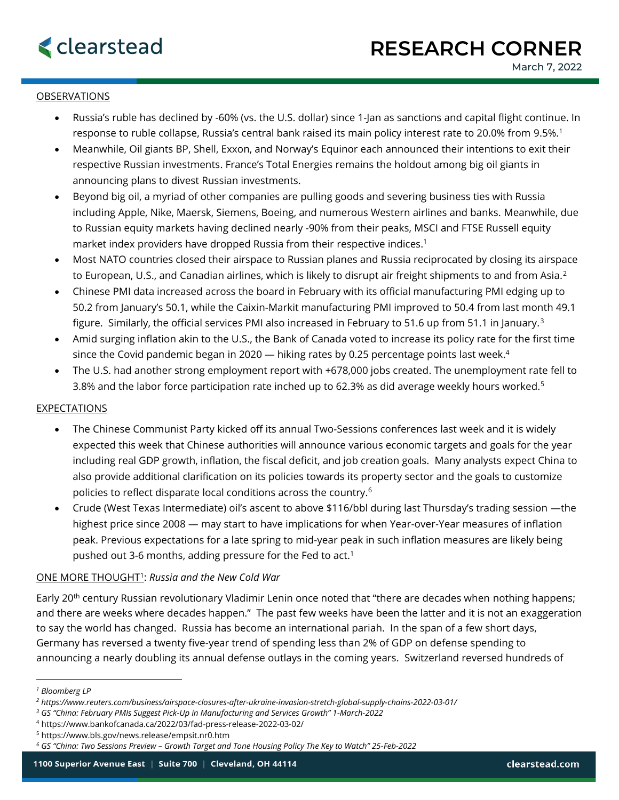## **OBSERVATIONS**

- Russia's ruble has declined by -60% (vs. the U.S. dollar) since 1-Jan as sanctions and capital flight continue. In response to ruble collapse, Russia's central bank raised its main policy interest rate to 20.0% from 9.5%.<sup>1</sup>
- Meanwhile, Oil giants BP, Shell, Exxon, and Norway's Equinor each announced their intentions to exit their respective Russian investments. France's Total Energies remains the holdout among big oil giants in announcing plans to divest Russian investments.
- Beyond big oil, a myriad of other companies are pulling goods and severing business ties with Russia including Apple, Nike, Maersk, Siemens, Boeing, and numerous Western airlines and banks. Meanwhile, due to Russian equity markets having declined nearly -90% from their peaks, MSCI and FTSE Russell equity market index providers have dropped Russia from their respective indices.<sup>1</sup>
- Most NATO countries closed their airspace to Russian planes and Russia reciprocated by closing its airspace to European, U.S., and Canadian airlines, which is likely to disrupt air freight shipments to and from Asia. $2$
- Chinese PMI data increased across the board in February with its official manufacturing PMI edging up to 50.2 from January's 50.1, while the Caixin-Markit manufacturing PMI improved to 50.4 from last month 49.1 figure. Similarly, the official services PMI also increased in February to 51.6 up from 51.1 in January.<sup>3</sup>
- Amid surging inflation akin to the U.S., the Bank of Canada voted to increase its policy rate for the first time since the Covid pandemic began in 2020 — hiking rates by 0.25 percentage points last week. 4
- The U.S. had another strong employment report with +678,000 jobs created. The unemployment rate fell to 3.8% and the labor force participation rate inched up to 62.3% as did average weekly hours worked.<sup>5</sup>

## EXPECTATIONS

- The Chinese Communist Party kicked off its annual Two-Sessions conferences last week and it is widely expected this week that Chinese authorities will announce various economic targets and goals for the year including real GDP growth, inflation, the fiscal deficit, and job creation goals. Many analysts expect China to also provide additional clarification on its policies towards its property sector and the goals to customize policies to reflect disparate local conditions across the country. $^6$
- Crude (West Texas Intermediate) oil's ascent to above \$116/bbl during last Thursday's trading session —the highest price since 2008 — may start to have implications for when Year-over-Year measures of inflation peak. Previous expectations for a late spring to mid-year peak in such inflation measures are likely being pushed out 3-6 months, adding pressure for the Fed to act.<sup>1</sup>

## ONE MORE THOUGHT<sup>1</sup> : *Russia and the New Cold War*

Early 20<sup>th</sup> century Russian revolutionary Vladimir Lenin once noted that "there are decades when nothing happens; and there are weeks where decades happen." The past few weeks have been the latter and it is not an exaggeration to say the world has changed. Russia has become an international pariah. In the span of a few short days, Germany has reversed a twenty five-year trend of spending less than 2% of GDP on defense spending to announcing a nearly doubling its annual defense outlays in the coming years. Switzerland reversed hundreds of

*<sup>1</sup> Bloomberg LP*

*<sup>2</sup> https://www.reuters.com/business/airspace-closures-after-ukraine-invasion-stretch-global-supply-chains-2022-03-01/*

*<sup>3</sup> GS "China: February PMIs Suggest Pick-Up in Manufacturing and Services Growth" 1-March-2022*

<sup>4</sup> https://www.bankofcanada.ca/2022/03/fad-press-release-2022-03-02/

<sup>5</sup> https://www.bls.gov/news.release/empsit.nr0.htm

*<sup>6</sup> GS "China: Two Sessions Preview – Growth Target and Tone Housing Policy The Key to Watch" 25-Feb-2022*